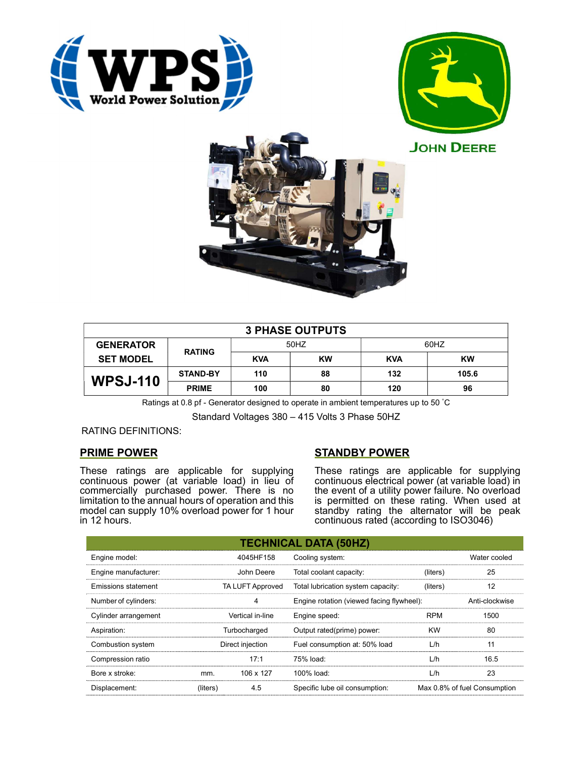





| <b>3 PHASE OUTPUTS</b> |                 |            |    |            |       |  |  |
|------------------------|-----------------|------------|----|------------|-------|--|--|
| <b>GENERATOR</b>       | <b>RATING</b>   | 50HZ       |    | 60HZ       |       |  |  |
| <b>SET MODEL</b>       |                 | <b>KVA</b> | KW | <b>KVA</b> | KW    |  |  |
| <b>WPSJ-110</b>        | <b>STAND-BY</b> | 110        | 88 | 132        | 105.6 |  |  |
|                        | <b>PRIME</b>    | 100        | 80 | 120        | 96    |  |  |

Ratings at 0.8 pf - Generator designed to operate in ambient temperatures up to 50 °C

Standard Voltages 380 – 415 Volts 3 Phase 50HZ

### RATING DEFINITIONS:

### PRIME POWER

These ratings are applicable for supplying continuous power (at variable load) in lieu of commercially purchased power. There is no limitation to the annual hours of operation and this model can supply 10% overload power for 1 hour in 12 hours.

# STANDBY POWER

These ratings are applicable for supplying continuous electrical power (at variable load) in the event of a utility power failure. No overload is permitted on these rating. When used at standby rating the alternator will be peak continuous rated (according to ISO3046)

|                                                |                  |                                    | <b>TECHNICAL DATA (50HZ)</b>              |            |                              |
|------------------------------------------------|------------------|------------------------------------|-------------------------------------------|------------|------------------------------|
| Engine model:                                  |                  | 4045HF158                          | Cooling system:                           |            | Water cooled                 |
| Engine manufacturer:                           |                  | John Deere                         | Total coolant capacity:                   | (liters)   | 25                           |
| TA LUFT Approved<br><b>Emissions statement</b> |                  | Total lubrication system capacity: | (liters)                                  | 12         |                              |
| Number of cylinders:                           |                  | 4                                  | Engine rotation (viewed facing flywheel): |            | Anti-clockwise               |
| Cylinder arrangement                           | Vertical in-line |                                    | Engine speed:                             | <b>RPM</b> | 1500                         |
| Aspiration:                                    |                  | Turbocharged                       | Output rated(prime) power:                | <b>KW</b>  | 80                           |
| Combustion system                              | Direct injection |                                    | Fuel consumption at: 50% load             | L/h        | 11                           |
| Compression ratio                              |                  | 17:1                               | 75% load:                                 | L/h        | 16.5                         |
| Bore x stroke:                                 | mm.              | 106 x 127                          | 100% load:                                | L/h        | 23                           |
| Displacement:                                  | (liters)         | 4.5                                | Specific lube oil consumption:            |            | Max 0.8% of fuel Consumption |